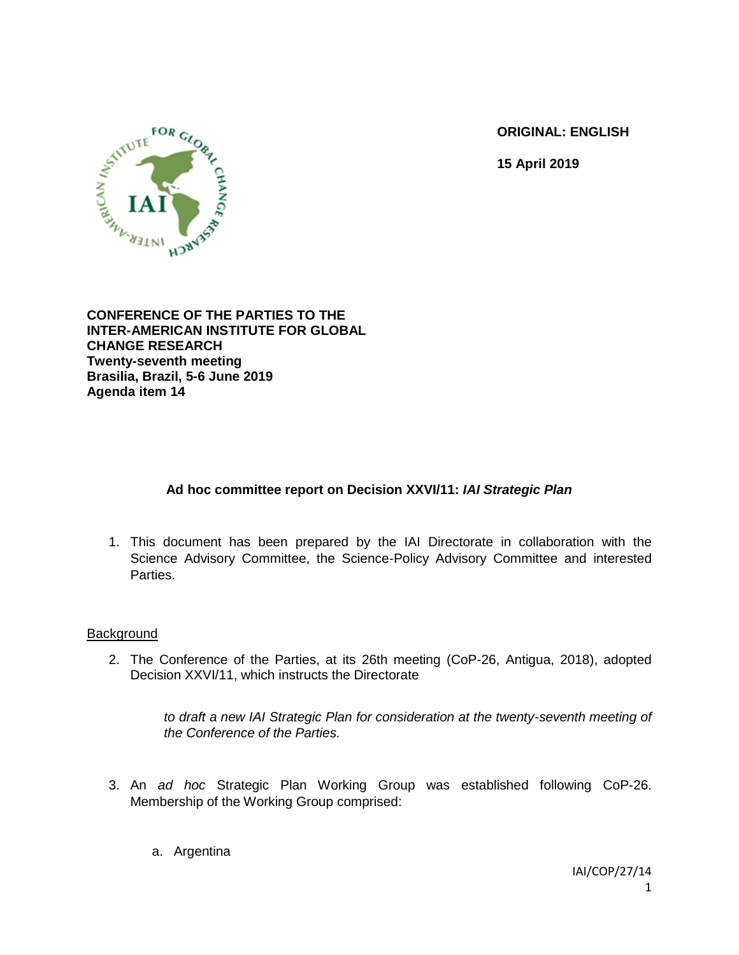**ORIGINAL: ENGLISH**

**15 April 2019**



**CONFERENCE OF THE PARTIES TO THE INTER-AMERICAN INSTITUTE FOR GLOBAL CHANGE RESEARCH Twenty-seventh meeting Brasilia, Brazil, 5-6 June 2019 Agenda item 14**

# **Ad hoc committee report on Decision XXVI/11:** *IAI Strategic Plan*

1. This document has been prepared by the IAI Directorate in collaboration with the Science Advisory Committee, the Science-Policy Advisory Committee and interested Parties.

#### **Background**

2. The Conference of the Parties, at its 26th meeting (CoP-26, Antigua, 2018), adopted Decision XXVI/11, which instructs the Directorate

> to draft a new IAI Strategic Plan for consideration at the twenty-seventh meeting of *the Conference of the Parties.*

- 3. An *ad hoc* Strategic Plan Working Group was established following CoP-26. Membership of the Working Group comprised:
	- a. Argentina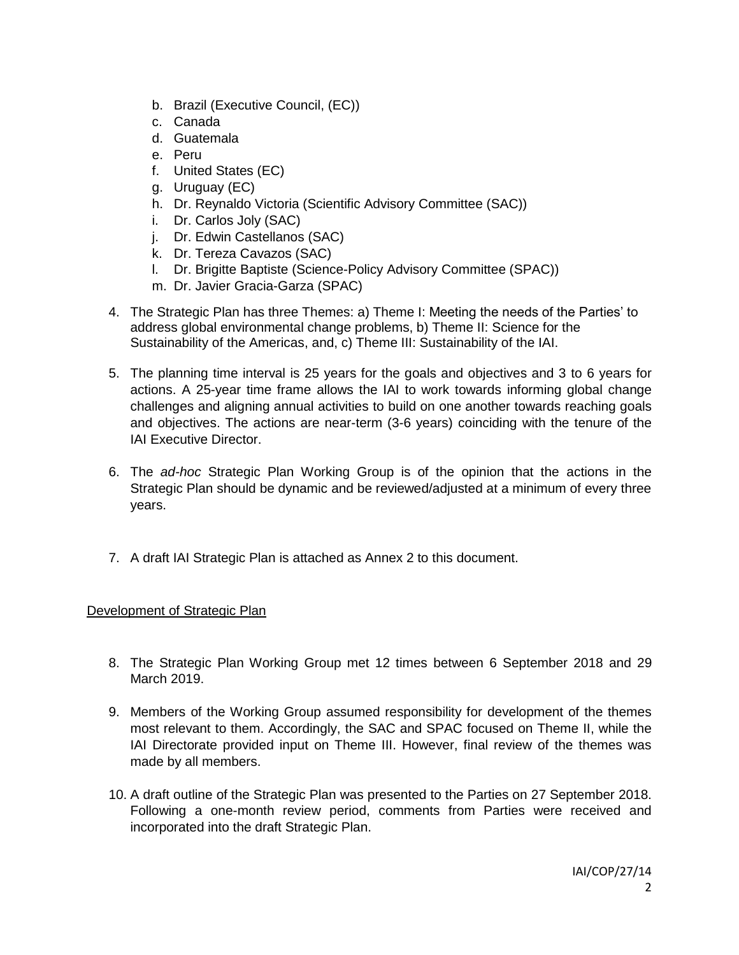- b. Brazil (Executive Council, (EC))
- c. Canada
- d. Guatemala
- e. Peru
- f. United States (EC)
- g. Uruguay (EC)
- h. Dr. Reynaldo Victoria (Scientific Advisory Committee (SAC))
- i. Dr. Carlos Joly (SAC)
- j. Dr. Edwin Castellanos (SAC)
- k. Dr. Tereza Cavazos (SAC)
- l. Dr. Brigitte Baptiste (Science-Policy Advisory Committee (SPAC))
- m. Dr. Javier Gracia-Garza (SPAC)
- 4. The Strategic Plan has three Themes: a) Theme I: Meeting the needs of the Parties' to address global environmental change problems, b) Theme II: Science for the Sustainability of the Americas, and, c) Theme III: Sustainability of the IAI.
- 5. The planning time interval is 25 years for the goals and objectives and 3 to 6 years for actions. A 25-year time frame allows the IAI to work towards informing global change challenges and aligning annual activities to build on one another towards reaching goals and objectives. The actions are near-term (3-6 years) coinciding with the tenure of the IAI Executive Director.
- 6. The *ad-hoc* Strategic Plan Working Group is of the opinion that the actions in the Strategic Plan should be dynamic and be reviewed/adjusted at a minimum of every three years.
- 7. A draft IAI Strategic Plan is attached as Annex 2 to this document.

# Development of Strategic Plan

- 8. The Strategic Plan Working Group met 12 times between 6 September 2018 and 29 March 2019.
- 9. Members of the Working Group assumed responsibility for development of the themes most relevant to them. Accordingly, the SAC and SPAC focused on Theme II, while the IAI Directorate provided input on Theme III. However, final review of the themes was made by all members.
- 10. A draft outline of the Strategic Plan was presented to the Parties on 27 September 2018. Following a one-month review period, comments from Parties were received and incorporated into the draft Strategic Plan.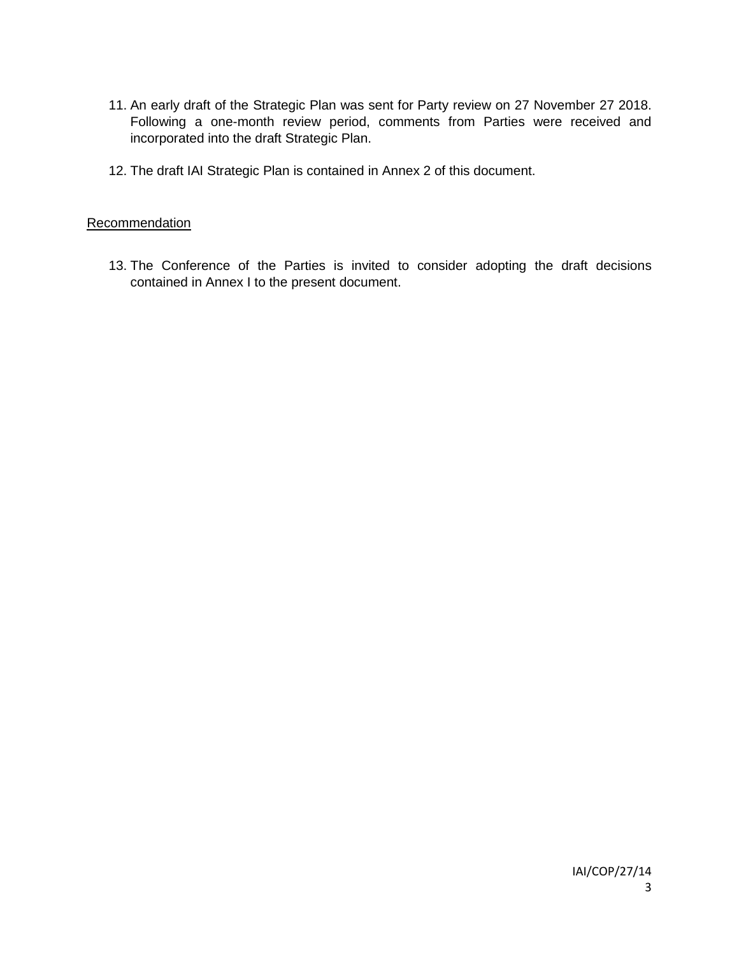- 11. An early draft of the Strategic Plan was sent for Party review on 27 November 27 2018. Following a one-month review period, comments from Parties were received and incorporated into the draft Strategic Plan.
- 12. The draft IAI Strategic Plan is contained in Annex 2 of this document.

#### **Recommendation**

13. The Conference of the Parties is invited to consider adopting the draft decisions contained in Annex I to the present document.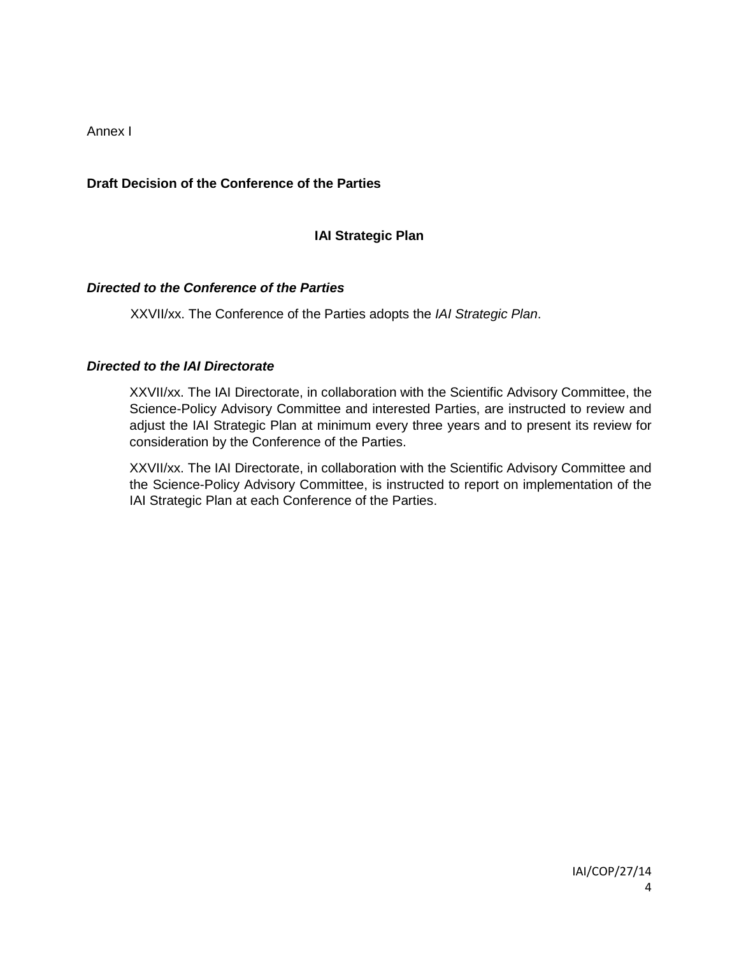Annex I

### **Draft Decision of the Conference of the Parties**

### **IAI Strategic Plan**

#### *Directed to the Conference of the Parties*

XXVII/xx. The Conference of the Parties adopts the *IAI Strategic Plan*.

#### *Directed to the IAI Directorate*

XXVII/xx. The IAI Directorate, in collaboration with the Scientific Advisory Committee, the Science-Policy Advisory Committee and interested Parties, are instructed to review and adjust the IAI Strategic Plan at minimum every three years and to present its review for consideration by the Conference of the Parties.

XXVII/xx. The IAI Directorate, in collaboration with the Scientific Advisory Committee and the Science-Policy Advisory Committee, is instructed to report on implementation of the IAI Strategic Plan at each Conference of the Parties.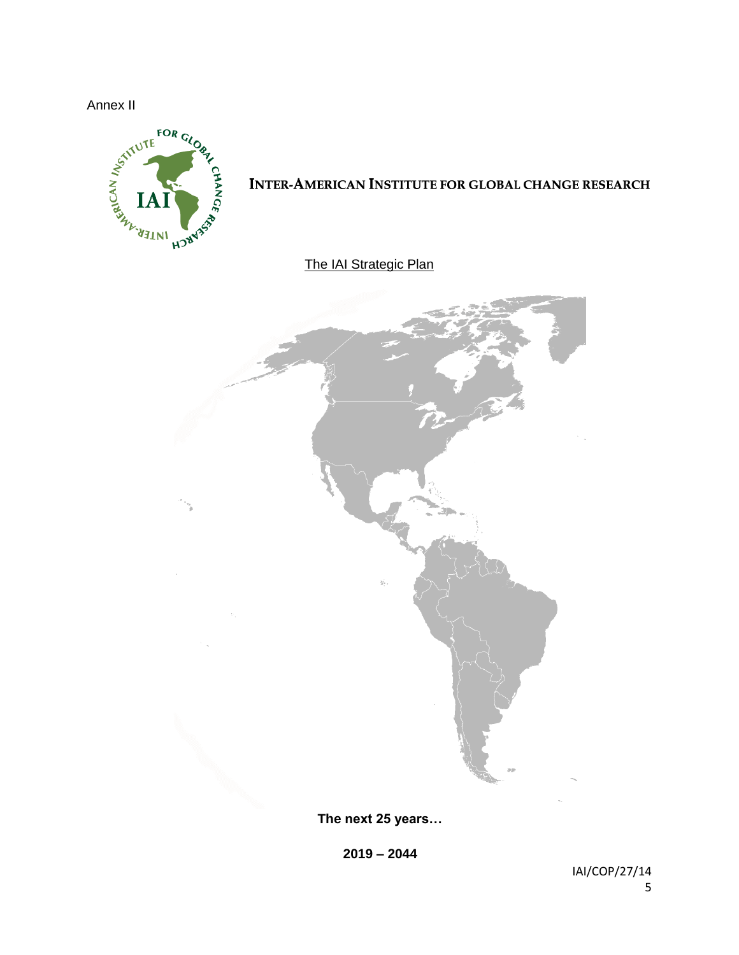

# **INTER-AMERICAN INSTITUTE FOR GLOBAL CHANGE RESEARCH**

# The IAI Strategic Plan



**The next 25 years…**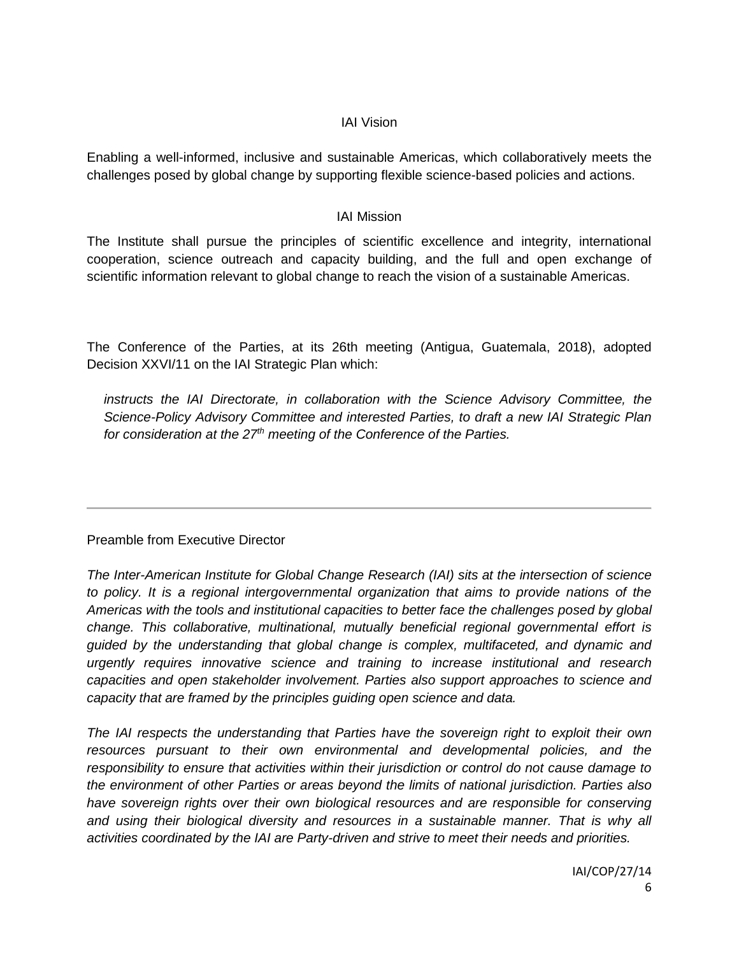#### IAI Vision

Enabling a well-informed, inclusive and sustainable Americas, which collaboratively meets the challenges posed by global change by supporting flexible science-based policies and actions.

#### IAI Mission

The Institute shall pursue the principles of scientific excellence and integrity, international cooperation, science outreach and capacity building, and the full and open exchange of scientific information relevant to global change to reach the vision of a sustainable Americas.

The Conference of the Parties, at its 26th meeting (Antigua, Guatemala, 2018), adopted Decision XXVI/11 on the IAI Strategic Plan which:

*instructs the IAI Directorate, in collaboration with the Science Advisory Committee, the Science-Policy Advisory Committee and interested Parties, to draft a new IAI Strategic Plan for consideration at the 27th meeting of the Conference of the Parties.*

# Preamble from Executive Director

*The Inter-American Institute for Global Change Research (IAI) sits at the intersection of science to policy. It is a regional intergovernmental organization that aims to provide nations of the Americas with the tools and institutional capacities to better face the challenges posed by global change. This collaborative, multinational, mutually beneficial regional governmental effort is guided by the understanding that global change is complex, multifaceted, and dynamic and urgently requires innovative science and training to increase institutional and research capacities and open stakeholder involvement. Parties also support approaches to science and capacity that are framed by the principles guiding open science and data.*

*The IAI respects the understanding that Parties have the sovereign right to exploit their own resources pursuant to their own environmental and developmental policies, and the responsibility to ensure that activities within their jurisdiction or control do not cause damage to the environment of other Parties or areas beyond the limits of national jurisdiction. Parties also have sovereign rights over their own biological resources and are responsible for conserving*  and using their biological diversity and resources in a sustainable manner. That is why all *activities coordinated by the IAI are Party-driven and strive to meet their needs and priorities.*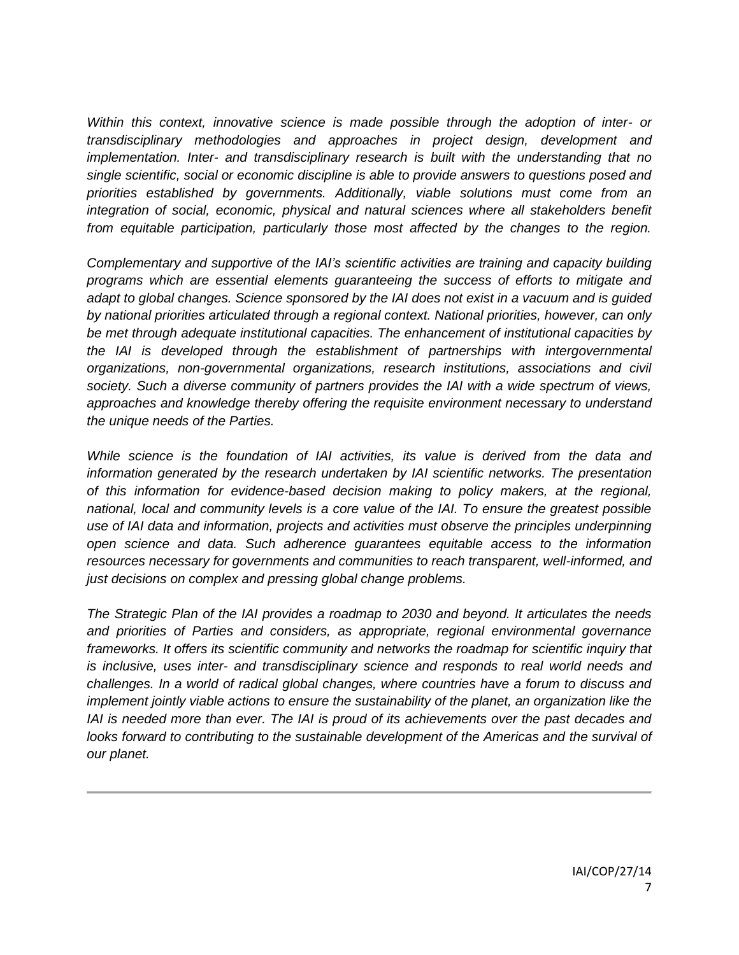*Within this context, innovative science is made possible through the adoption of inter- or transdisciplinary methodologies and approaches in project design, development and implementation. Inter- and transdisciplinary research is built with the understanding that no single scientific, social or economic discipline is able to provide answers to questions posed and priorities established by governments. Additionally, viable solutions must come from an integration of social, economic, physical and natural sciences where all stakeholders benefit from equitable participation, particularly those most affected by the changes to the region.*

*Complementary and supportive of the IAI's scientific activities are training and capacity building programs which are essential elements guaranteeing the success of efforts to mitigate and adapt to global changes. Science sponsored by the IAI does not exist in a vacuum and is guided by national priorities articulated through a regional context. National priorities, however, can only be met through adequate institutional capacities. The enhancement of institutional capacities by the IAI is developed through the establishment of partnerships with intergovernmental organizations, non-governmental organizations, research institutions, associations and civil society. Such a diverse community of partners provides the IAI with a wide spectrum of views, approaches and knowledge thereby offering the requisite environment necessary to understand the unique needs of the Parties.*

*While science is the foundation of IAI activities, its value is derived from the data and information generated by the research undertaken by IAI scientific networks. The presentation of this information for evidence-based decision making to policy makers, at the regional, national, local and community levels is a core value of the IAI. To ensure the greatest possible use of IAI data and information, projects and activities must observe the principles underpinning open science and data. Such adherence guarantees equitable access to the information resources necessary for governments and communities to reach transparent, well-informed, and just decisions on complex and pressing global change problems.*

*The Strategic Plan of the IAI provides a roadmap to 2030 and beyond. It articulates the needs and priorities of Parties and considers, as appropriate, regional environmental governance frameworks. It offers its scientific community and networks the roadmap for scientific inquiry that is inclusive, uses inter- and transdisciplinary science and responds to real world needs and challenges. In a world of radical global changes, where countries have a forum to discuss and implement jointly viable actions to ensure the sustainability of the planet, an organization like the IAI is needed more than ever. The IAI is proud of its achievements over the past decades and looks forward to contributing to the sustainable development of the Americas and the survival of our planet.*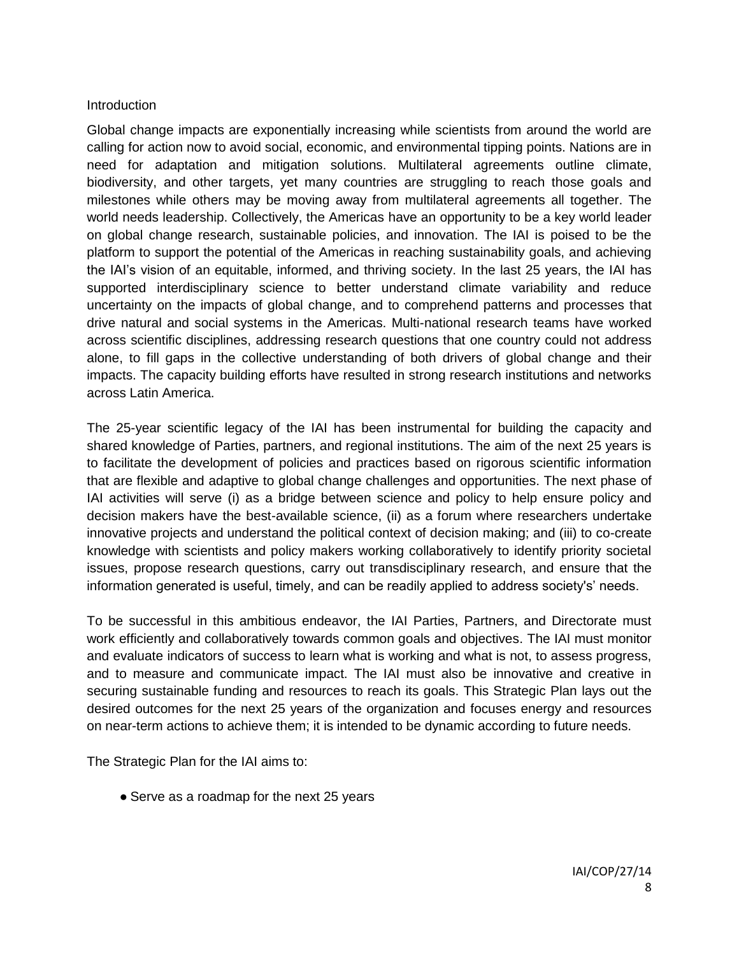#### **Introduction**

Global change impacts are exponentially increasing while scientists from around the world are calling for action now to avoid social, economic, and environmental tipping points. Nations are in need for adaptation and mitigation solutions. Multilateral agreements outline climate, biodiversity, and other targets, yet many countries are struggling to reach those goals and milestones while others may be moving away from multilateral agreements all together. The world needs leadership. Collectively, the Americas have an opportunity to be a key world leader on global change research, sustainable policies, and innovation. The IAI is poised to be the platform to support the potential of the Americas in reaching sustainability goals, and achieving the IAI's vision of an equitable, informed, and thriving society. In the last 25 years, the IAI has supported interdisciplinary science to better understand climate variability and reduce uncertainty on the impacts of global change, and to comprehend patterns and processes that drive natural and social systems in the Americas. Multi-national research teams have worked across scientific disciplines, addressing research questions that one country could not address alone, to fill gaps in the collective understanding of both drivers of global change and their impacts. The capacity building efforts have resulted in strong research institutions and networks across Latin America.

The 25-year scientific legacy of the IAI has been instrumental for building the capacity and shared knowledge of Parties, partners, and regional institutions. The aim of the next 25 years is to facilitate the development of policies and practices based on rigorous scientific information that are flexible and adaptive to global change challenges and opportunities. The next phase of IAI activities will serve (i) as a bridge between science and policy to help ensure policy and decision makers have the best-available science, (ii) as a forum where researchers undertake innovative projects and understand the political context of decision making; and (iii) to co-create knowledge with scientists and policy makers working collaboratively to identify priority societal issues, propose research questions, carry out transdisciplinary research, and ensure that the information generated is useful, timely, and can be readily applied to address society's' needs.

To be successful in this ambitious endeavor, the IAI Parties, Partners, and Directorate must work efficiently and collaboratively towards common goals and objectives. The IAI must monitor and evaluate indicators of success to learn what is working and what is not, to assess progress, and to measure and communicate impact. The IAI must also be innovative and creative in securing sustainable funding and resources to reach its goals. This Strategic Plan lays out the desired outcomes for the next 25 years of the organization and focuses energy and resources on near-term actions to achieve them; it is intended to be dynamic according to future needs.

The Strategic Plan for the IAI aims to:

• Serve as a roadmap for the next 25 years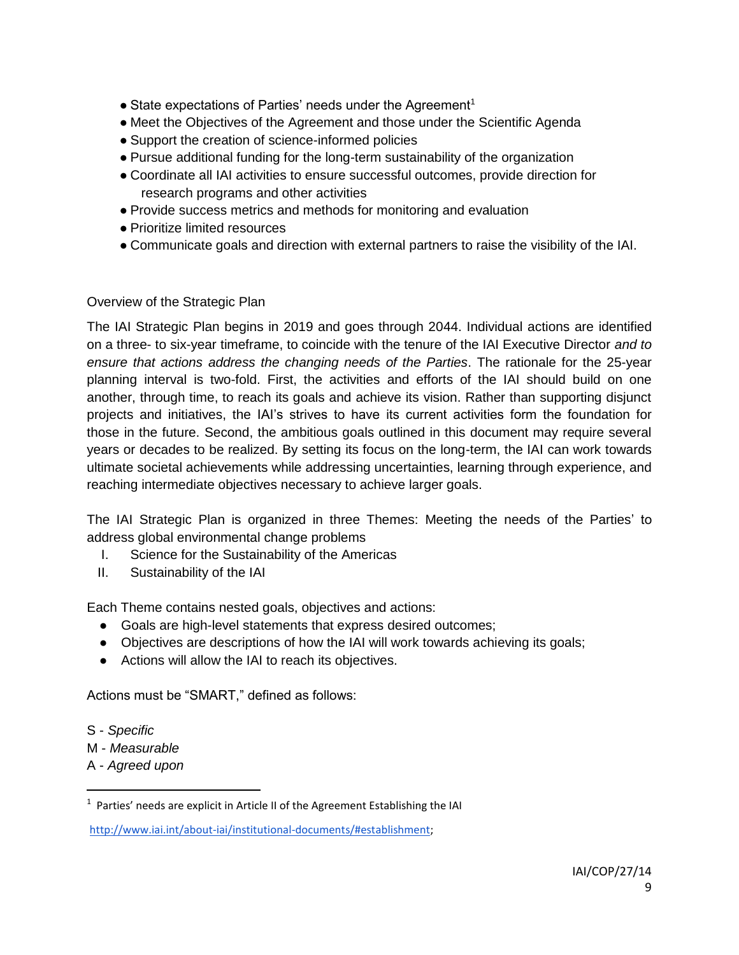- $\bullet$  State expectations of Parties' needs under the Agreement<sup>1</sup>
- Meet the Objectives of the Agreement and those under the Scientific Agenda
- Support the creation of science-informed policies
- Pursue additional funding for the long-term sustainability of the organization
- Coordinate all IAI activities to ensure successful outcomes, provide direction for research programs and other activities
- Provide success metrics and methods for monitoring and evaluation
- Prioritize limited resources
- Communicate goals and direction with external partners to raise the visibility of the IAI.

### Overview of the Strategic Plan

The IAI Strategic Plan begins in 2019 and goes through 2044. Individual actions are identified on a three- to six-year timeframe, to coincide with the tenure of the IAI Executive Director *and to ensure that actions address the changing needs of the Parties*. The rationale for the 25-year planning interval is two-fold. First, the activities and efforts of the IAI should build on one another, through time, to reach its goals and achieve its vision. Rather than supporting disjunct projects and initiatives, the IAI's strives to have its current activities form the foundation for those in the future. Second, the ambitious goals outlined in this document may require several years or decades to be realized. By setting its focus on the long-term, the IAI can work towards ultimate societal achievements while addressing uncertainties, learning through experience, and reaching intermediate objectives necessary to achieve larger goals.

The IAI Strategic Plan is organized in three Themes: Meeting the needs of the Parties' to address global environmental change problems

- I. Science for the Sustainability of the Americas
- II. Sustainability of the IAI

Each Theme contains nested goals, objectives and actions:

- Goals are high-level statements that express desired outcomes;
- Objectives are descriptions of how the IAI will work towards achieving its goals;
- Actions will allow the IAI to reach its objectives.

Actions must be "SMART," defined as follows:

S - *Specific* 

 $\overline{a}$ 

- M *Measurable*
- A *Agreed upon*

 $1$  Parties' needs are explicit in Article II of the Agreement Establishing the IAI

[http://www.iai.int/about-iai/institutional-documents/#establishment;](http://www.iai.int/about-iai/institutional-documents/#establishment)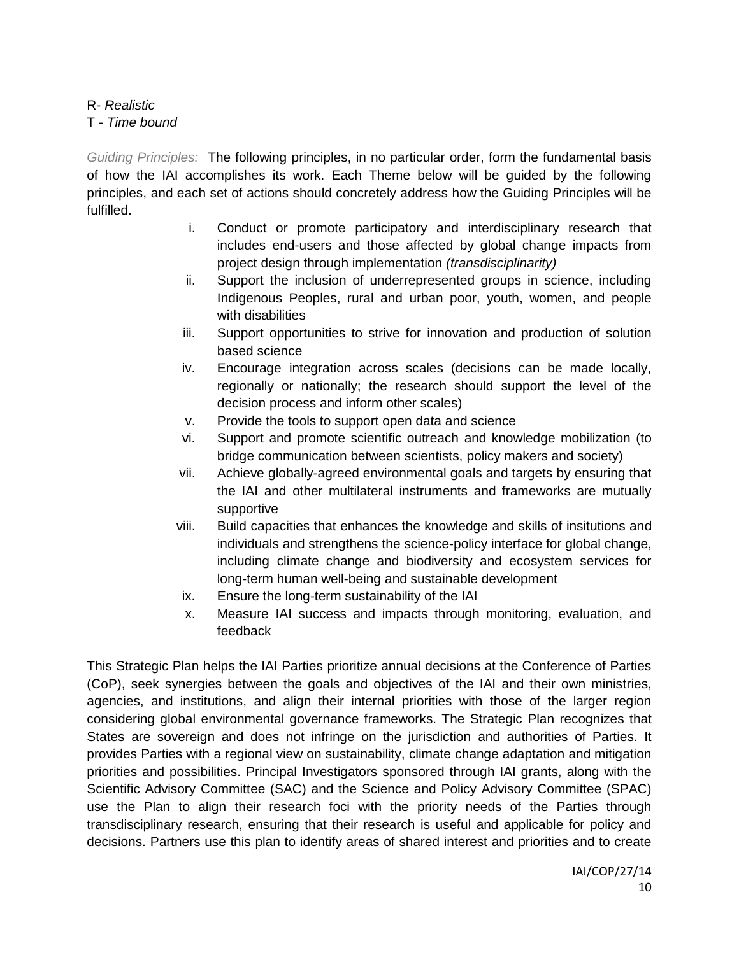R- *Realistic*  T - *Time bound* 

*Guiding Principles:* The following principles, in no particular order, form the fundamental basis of how the IAI accomplishes its work. Each Theme below will be guided by the following principles, and each set of actions should concretely address how the Guiding Principles will be fulfilled.

- i. Conduct or promote participatory and interdisciplinary research that includes end-users and those affected by global change impacts from project design through implementation *(transdisciplinarity)*
- ii. Support the inclusion of underrepresented groups in science, including Indigenous Peoples, rural and urban poor, youth, women, and people with disabilities
- iii. Support opportunities to strive for innovation and production of solution based science
- iv. Encourage integration across scales (decisions can be made locally, regionally or nationally; the research should support the level of the decision process and inform other scales)
- v. Provide the tools to support open data and science
- vi. Support and promote scientific outreach and knowledge mobilization (to bridge communication between scientists, policy makers and society)
- vii. Achieve globally-agreed environmental goals and targets by ensuring that the IAI and other multilateral instruments and frameworks are mutually supportive
- viii. Build capacities that enhances the knowledge and skills of insitutions and individuals and strengthens the science-policy interface for global change, including climate change and biodiversity and ecosystem services for long-term human well-being and sustainable development
- ix. Ensure the long-term sustainability of the IAI
- x. Measure IAI success and impacts through monitoring, evaluation, and feedback

This Strategic Plan helps the IAI Parties prioritize annual decisions at the Conference of Parties (CoP), seek synergies between the goals and objectives of the IAI and their own ministries, agencies, and institutions, and align their internal priorities with those of the larger region considering global environmental governance frameworks. The Strategic Plan recognizes that States are sovereign and does not infringe on the jurisdiction and authorities of Parties. It provides Parties with a regional view on sustainability, climate change adaptation and mitigation priorities and possibilities. Principal Investigators sponsored through IAI grants, along with the Scientific Advisory Committee (SAC) and the Science and Policy Advisory Committee (SPAC) use the Plan to align their research foci with the priority needs of the Parties through transdisciplinary research, ensuring that their research is useful and applicable for policy and decisions. Partners use this plan to identify areas of shared interest and priorities and to create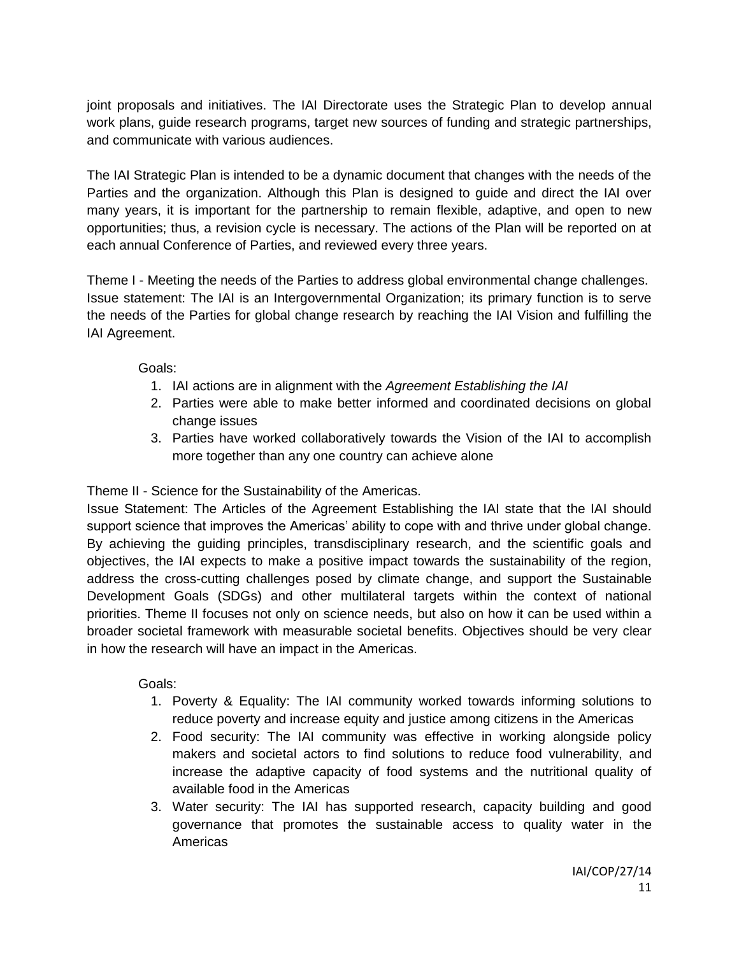joint proposals and initiatives. The IAI Directorate uses the Strategic Plan to develop annual work plans, guide research programs, target new sources of funding and strategic partnerships, and communicate with various audiences.

The IAI Strategic Plan is intended to be a dynamic document that changes with the needs of the Parties and the organization. Although this Plan is designed to guide and direct the IAI over many years, it is important for the partnership to remain flexible, adaptive, and open to new opportunities; thus, a revision cycle is necessary. The actions of the Plan will be reported on at each annual Conference of Parties, and reviewed every three years.

Theme I - Meeting the needs of the Parties to address global environmental change challenges. Issue statement: The IAI is an Intergovernmental Organization; its primary function is to serve the needs of the Parties for global change research by reaching the IAI Vision and fulfilling the IAI Agreement.

Goals:

- 1. IAI actions are in alignment with the *Agreement Establishing the IAI*
- 2. Parties were able to make better informed and coordinated decisions on global change issues
- 3. Parties have worked collaboratively towards the Vision of the IAI to accomplish more together than any one country can achieve alone

Theme II - Science for the Sustainability of the Americas.

Issue Statement: The Articles of the Agreement Establishing the IAI state that the IAI should support science that improves the Americas' ability to cope with and thrive under global change. By achieving the guiding principles, transdisciplinary research, and the scientific goals and objectives, the IAI expects to make a positive impact towards the sustainability of the region, address the cross-cutting challenges posed by climate change, and support the Sustainable Development Goals (SDGs) and other multilateral targets within the context of national priorities. Theme II focuses not only on science needs, but also on how it can be used within a broader societal framework with measurable societal benefits. Objectives should be very clear in how the research will have an impact in the Americas.

Goals:

- 1. Poverty & Equality: The IAI community worked towards informing solutions to reduce poverty and increase equity and justice among citizens in the Americas
- 2. Food security: The IAI community was effective in working alongside policy makers and societal actors to find solutions to reduce food vulnerability, and increase the adaptive capacity of food systems and the nutritional quality of available food in the Americas
- 3. Water security: The IAI has supported research, capacity building and good governance that promotes the sustainable access to quality water in the Americas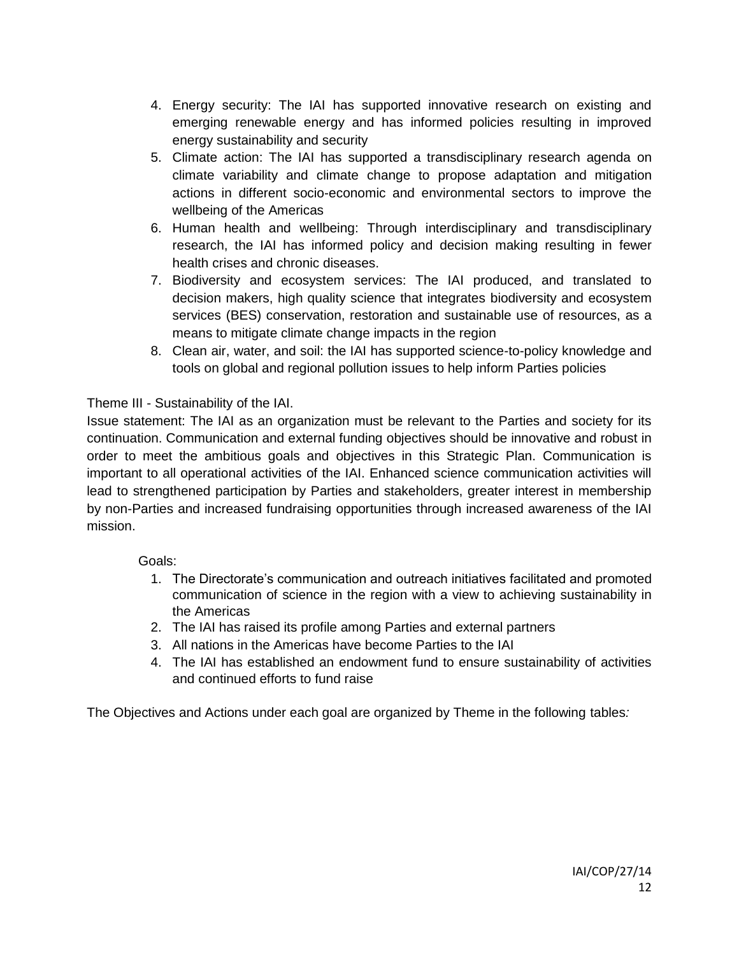- 4. Energy security: The IAI has supported innovative research on existing and emerging renewable energy and has informed policies resulting in improved energy sustainability and security
- 5. Climate action: The IAI has supported a transdisciplinary research agenda on climate variability and climate change to propose adaptation and mitigation actions in different socio-economic and environmental sectors to improve the wellbeing of the Americas
- 6. Human health and wellbeing: Through interdisciplinary and transdisciplinary research, the IAI has informed policy and decision making resulting in fewer health crises and chronic diseases.
- 7. Biodiversity and ecosystem services: The IAI produced, and translated to decision makers, high quality science that integrates biodiversity and ecosystem services (BES) conservation, restoration and sustainable use of resources, as a means to mitigate climate change impacts in the region
- 8. Clean air, water, and soil: the IAI has supported science-to-policy knowledge and tools on global and regional pollution issues to help inform Parties policies

# Theme III - Sustainability of the IAI.

Issue statement: The IAI as an organization must be relevant to the Parties and society for its continuation. Communication and external funding objectives should be innovative and robust in order to meet the ambitious goals and objectives in this Strategic Plan. Communication is important to all operational activities of the IAI. Enhanced science communication activities will lead to strengthened participation by Parties and stakeholders, greater interest in membership by non-Parties and increased fundraising opportunities through increased awareness of the IAI mission.

# Goals:

- 1. The Directorate's communication and outreach initiatives facilitated and promoted communication of science in the region with a view to achieving sustainability in the Americas
- 2. The IAI has raised its profile among Parties and external partners
- 3. All nations in the Americas have become Parties to the IAI
- 4. The IAI has established an endowment fund to ensure sustainability of activities and continued efforts to fund raise

The Objectives and Actions under each goal are organized by Theme in the following tables*:*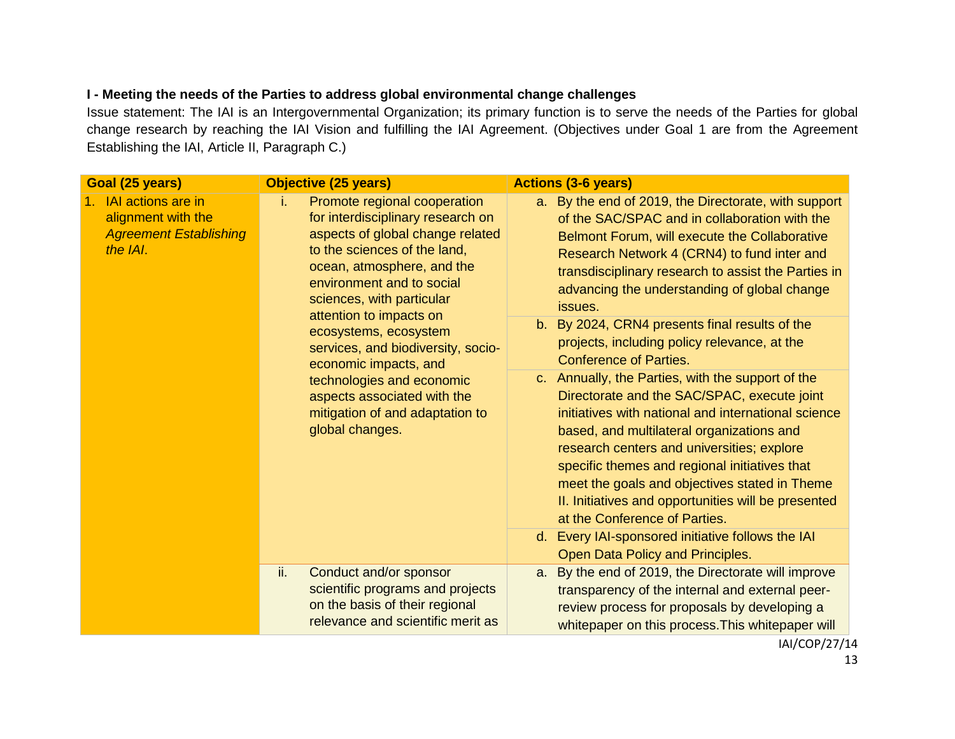# **I - Meeting the needs of the Parties to address global environmental change challenges**

Issue statement: The IAI is an Intergovernmental Organization; its primary function is to serve the needs of the Parties for global change research by reaching the IAI Vision and fulfilling the IAI Agreement. (Objectives under Goal 1 are from the Agreement Establishing the IAI, Article II, Paragraph C.)

| Goal (25 years)                                                                          | <b>Objective (25 years)</b>                                                                                                                                                                                                                                                                                                                                                                                                                                              | <b>Actions (3-6 years)</b>                                                                                                                                                                                                                                                                                                                                                                                                                   |
|------------------------------------------------------------------------------------------|--------------------------------------------------------------------------------------------------------------------------------------------------------------------------------------------------------------------------------------------------------------------------------------------------------------------------------------------------------------------------------------------------------------------------------------------------------------------------|----------------------------------------------------------------------------------------------------------------------------------------------------------------------------------------------------------------------------------------------------------------------------------------------------------------------------------------------------------------------------------------------------------------------------------------------|
| 1. IAI actions are in<br>alignment with the<br><b>Agreement Establishing</b><br>the IAI. | Promote regional cooperation<br>i.<br>for interdisciplinary research on<br>aspects of global change related<br>to the sciences of the land,<br>ocean, atmosphere, and the<br>environment and to social<br>sciences, with particular<br>attention to impacts on<br>ecosystems, ecosystem<br>services, and biodiversity, socio-<br>economic impacts, and<br>technologies and economic<br>aspects associated with the<br>mitigation of and adaptation to<br>global changes. | a. By the end of 2019, the Directorate, with support<br>of the SAC/SPAC and in collaboration with the<br>Belmont Forum, will execute the Collaborative<br>Research Network 4 (CRN4) to fund inter and<br>transdisciplinary research to assist the Parties in<br>advancing the understanding of global change<br>issues.                                                                                                                      |
|                                                                                          |                                                                                                                                                                                                                                                                                                                                                                                                                                                                          | b. By 2024, CRN4 presents final results of the<br>projects, including policy relevance, at the<br><b>Conference of Parties.</b>                                                                                                                                                                                                                                                                                                              |
|                                                                                          |                                                                                                                                                                                                                                                                                                                                                                                                                                                                          | c. Annually, the Parties, with the support of the<br>Directorate and the SAC/SPAC, execute joint<br>initiatives with national and international science<br>based, and multilateral organizations and<br>research centers and universities; explore<br>specific themes and regional initiatives that<br>meet the goals and objectives stated in Theme<br>II. Initiatives and opportunities will be presented<br>at the Conference of Parties. |
|                                                                                          |                                                                                                                                                                                                                                                                                                                                                                                                                                                                          | d. Every IAI-sponsored initiative follows the IAI<br>Open Data Policy and Principles.                                                                                                                                                                                                                                                                                                                                                        |
|                                                                                          | ii.<br>Conduct and/or sponsor<br>scientific programs and projects<br>on the basis of their regional<br>relevance and scientific merit as                                                                                                                                                                                                                                                                                                                                 | By the end of 2019, the Directorate will improve<br>a.<br>transparency of the internal and external peer-<br>review process for proposals by developing a<br>whitepaper on this process. This whitepaper will                                                                                                                                                                                                                                |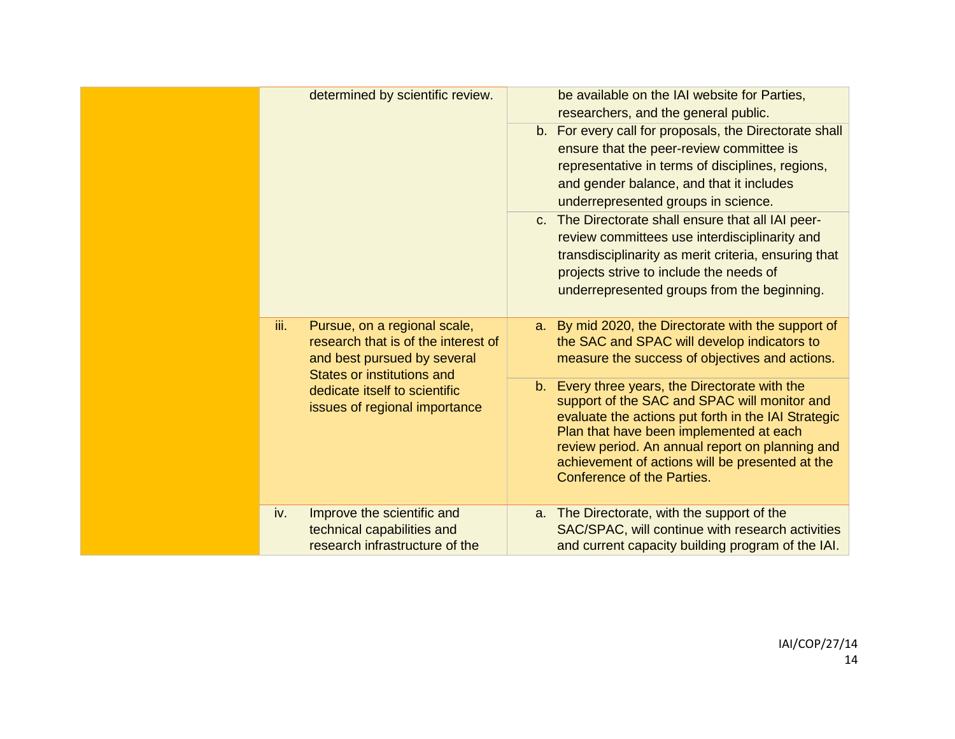| determined by scientific review.                                                                                                                                                                                  | be available on the IAI website for Parties,<br>researchers, and the general public.<br>b. For every call for proposals, the Directorate shall<br>ensure that the peer-review committee is<br>representative in terms of disciplines, regions,<br>and gender balance, and that it includes<br>underrepresented groups in science.<br>c. The Directorate shall ensure that all IAI peer-<br>review committees use interdisciplinarity and<br>transdisciplinarity as merit criteria, ensuring that<br>projects strive to include the needs of<br>underrepresented groups from the beginning. |
|-------------------------------------------------------------------------------------------------------------------------------------------------------------------------------------------------------------------|--------------------------------------------------------------------------------------------------------------------------------------------------------------------------------------------------------------------------------------------------------------------------------------------------------------------------------------------------------------------------------------------------------------------------------------------------------------------------------------------------------------------------------------------------------------------------------------------|
| iii.<br>Pursue, on a regional scale,<br>research that is of the interest of<br>and best pursued by several<br><b>States or institutions and</b><br>dedicate itself to scientific<br>issues of regional importance | a. By mid 2020, the Directorate with the support of<br>the SAC and SPAC will develop indicators to<br>measure the success of objectives and actions.<br>b. Every three years, the Directorate with the<br>support of the SAC and SPAC will monitor and<br>evaluate the actions put forth in the IAI Strategic<br>Plan that have been implemented at each<br>review period. An annual report on planning and<br>achievement of actions will be presented at the<br><b>Conference of the Parties.</b>                                                                                        |
| Improve the scientific and<br>iv.<br>technical capabilities and<br>research infrastructure of the                                                                                                                 | a. The Directorate, with the support of the<br>SAC/SPAC, will continue with research activities<br>and current capacity building program of the IAI.                                                                                                                                                                                                                                                                                                                                                                                                                                       |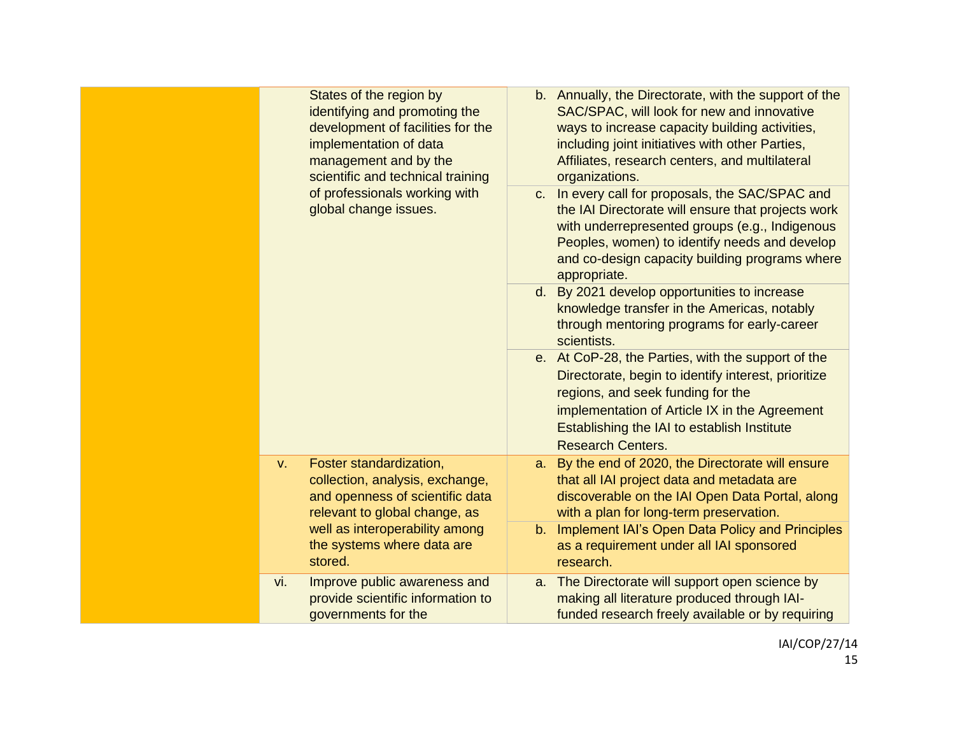| States of the region by<br>identifying and promoting the<br>development of facilities for the<br>implementation of data<br>management and by the<br>scientific and technical training |                                                                                                                                |                                                                                                                                                                                                                                                                             | b. Annually, the Directorate, with the support of the<br>SAC/SPAC, will look for new and innovative<br>ways to increase capacity building activities,<br>including joint initiatives with other Parties,<br>Affiliates, research centers, and multilateral<br>organizations. |
|---------------------------------------------------------------------------------------------------------------------------------------------------------------------------------------|--------------------------------------------------------------------------------------------------------------------------------|-----------------------------------------------------------------------------------------------------------------------------------------------------------------------------------------------------------------------------------------------------------------------------|------------------------------------------------------------------------------------------------------------------------------------------------------------------------------------------------------------------------------------------------------------------------------|
| of professionals working with<br>global change issues.                                                                                                                                |                                                                                                                                | c. In every call for proposals, the SAC/SPAC and<br>the IAI Directorate will ensure that projects work<br>with underrepresented groups (e.g., Indigenous<br>Peoples, women) to identify needs and develop<br>and co-design capacity building programs where<br>appropriate. |                                                                                                                                                                                                                                                                              |
|                                                                                                                                                                                       |                                                                                                                                |                                                                                                                                                                                                                                                                             | d. By 2021 develop opportunities to increase<br>knowledge transfer in the Americas, notably<br>through mentoring programs for early-career<br>scientists.                                                                                                                    |
|                                                                                                                                                                                       |                                                                                                                                |                                                                                                                                                                                                                                                                             | e. At CoP-28, the Parties, with the support of the<br>Directorate, begin to identify interest, prioritize<br>regions, and seek funding for the<br>implementation of Article IX in the Agreement<br>Establishing the IAI to establish Institute<br><b>Research Centers.</b>   |
| V.                                                                                                                                                                                    | Foster standardization,<br>collection, analysis, exchange,<br>and openness of scientific data<br>relevant to global change, as | a.                                                                                                                                                                                                                                                                          | By the end of 2020, the Directorate will ensure<br>that all IAI project data and metadata are<br>discoverable on the IAI Open Data Portal, along<br>with a plan for long-term preservation.                                                                                  |
| well as interoperability among<br>the systems where data are<br>stored.                                                                                                               |                                                                                                                                |                                                                                                                                                                                                                                                                             | b. Implement IAI's Open Data Policy and Principles<br>as a requirement under all IAI sponsored<br>research.                                                                                                                                                                  |
| vi.                                                                                                                                                                                   | Improve public awareness and<br>provide scientific information to<br>governments for the                                       |                                                                                                                                                                                                                                                                             | a. The Directorate will support open science by<br>making all literature produced through IAI-<br>funded research freely available or by requiring                                                                                                                           |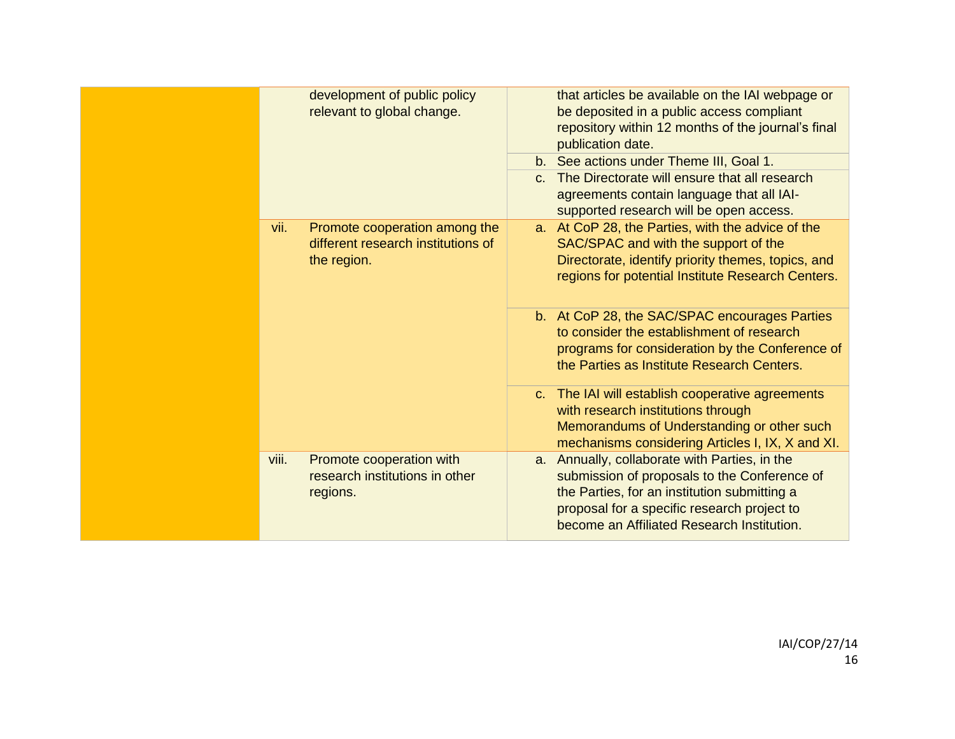| development of public policy<br>that articles be available on the IAI webpage or<br>relevant to global change.<br>be deposited in a public access compliant<br>repository within 12 months of the journal's final<br>publication date.<br>b. See actions under Theme III, Goal 1.<br>c. The Directorate will ensure that all research<br>agreements contain language that all IAI-<br>supported research will be open access.<br>a. At CoP 28, the Parties, with the advice of the<br>vii.<br>Promote cooperation among the<br>different research institutions of<br>SAC/SPAC and with the support of the<br>Directorate, identify priority themes, topics, and<br>the region.<br>regions for potential Institute Research Centers.<br>b. At CoP 28, the SAC/SPAC encourages Parties<br>to consider the establishment of research<br>programs for consideration by the Conference of<br>the Parties as Institute Research Centers.<br>c. The IAI will establish cooperative agreements<br>with research institutions through<br>Memorandums of Understanding or other such<br>mechanisms considering Articles I, IX, X and XI.<br>a. Annually, collaborate with Parties, in the<br>viii.<br>Promote cooperation with<br>research institutions in other<br>submission of proposals to the Conference of<br>the Parties, for an institution submitting a<br>regions.<br>proposal for a specific research project to<br>become an Affiliated Research Institution. |  |  |
|-----------------------------------------------------------------------------------------------------------------------------------------------------------------------------------------------------------------------------------------------------------------------------------------------------------------------------------------------------------------------------------------------------------------------------------------------------------------------------------------------------------------------------------------------------------------------------------------------------------------------------------------------------------------------------------------------------------------------------------------------------------------------------------------------------------------------------------------------------------------------------------------------------------------------------------------------------------------------------------------------------------------------------------------------------------------------------------------------------------------------------------------------------------------------------------------------------------------------------------------------------------------------------------------------------------------------------------------------------------------------------------------------------------------------------------------------------------------|--|--|
|                                                                                                                                                                                                                                                                                                                                                                                                                                                                                                                                                                                                                                                                                                                                                                                                                                                                                                                                                                                                                                                                                                                                                                                                                                                                                                                                                                                                                                                                 |  |  |
|                                                                                                                                                                                                                                                                                                                                                                                                                                                                                                                                                                                                                                                                                                                                                                                                                                                                                                                                                                                                                                                                                                                                                                                                                                                                                                                                                                                                                                                                 |  |  |
|                                                                                                                                                                                                                                                                                                                                                                                                                                                                                                                                                                                                                                                                                                                                                                                                                                                                                                                                                                                                                                                                                                                                                                                                                                                                                                                                                                                                                                                                 |  |  |
|                                                                                                                                                                                                                                                                                                                                                                                                                                                                                                                                                                                                                                                                                                                                                                                                                                                                                                                                                                                                                                                                                                                                                                                                                                                                                                                                                                                                                                                                 |  |  |
|                                                                                                                                                                                                                                                                                                                                                                                                                                                                                                                                                                                                                                                                                                                                                                                                                                                                                                                                                                                                                                                                                                                                                                                                                                                                                                                                                                                                                                                                 |  |  |
|                                                                                                                                                                                                                                                                                                                                                                                                                                                                                                                                                                                                                                                                                                                                                                                                                                                                                                                                                                                                                                                                                                                                                                                                                                                                                                                                                                                                                                                                 |  |  |
|                                                                                                                                                                                                                                                                                                                                                                                                                                                                                                                                                                                                                                                                                                                                                                                                                                                                                                                                                                                                                                                                                                                                                                                                                                                                                                                                                                                                                                                                 |  |  |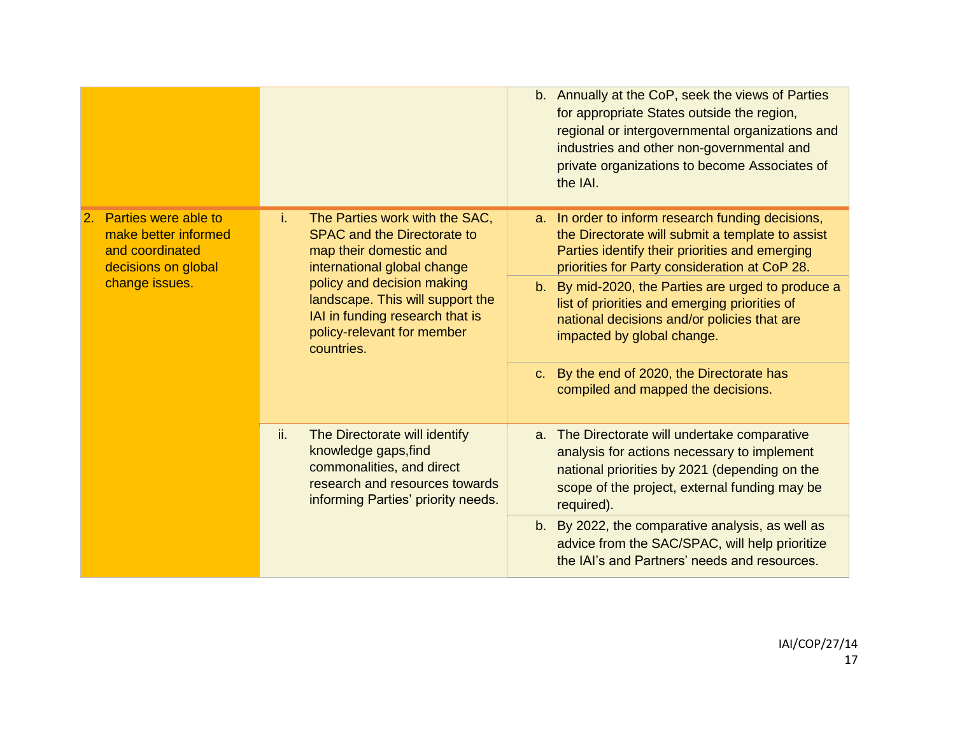|                                                                                                                |                                                                                                                                                                   | b. Annually at the CoP, seek the views of Parties<br>for appropriate States outside the region,<br>regional or intergovernmental organizations and<br>industries and other non-governmental and<br>private organizations to become Associates of<br>the IAI. |
|----------------------------------------------------------------------------------------------------------------|-------------------------------------------------------------------------------------------------------------------------------------------------------------------|--------------------------------------------------------------------------------------------------------------------------------------------------------------------------------------------------------------------------------------------------------------|
| Parties were able to<br>2.<br>make better informed<br>and coordinated<br>decisions on global<br>change issues. | The Parties work with the SAC,<br>i.<br><b>SPAC and the Directorate to</b><br>map their domestic and<br>international global change                               | a. In order to inform research funding decisions,<br>the Directorate will submit a template to assist<br>Parties identify their priorities and emerging<br>priorities for Party consideration at CoP 28.                                                     |
|                                                                                                                | policy and decision making<br>landscape. This will support the<br>IAI in funding research that is<br>policy-relevant for member<br>countries.                     | b. By mid-2020, the Parties are urged to produce a<br>list of priorities and emerging priorities of<br>national decisions and/or policies that are<br>impacted by global change.                                                                             |
|                                                                                                                |                                                                                                                                                                   | c. By the end of 2020, the Directorate has<br>compiled and mapped the decisions.                                                                                                                                                                             |
|                                                                                                                | ii.<br>The Directorate will identify<br>knowledge gaps, find<br>commonalities, and direct<br>research and resources towards<br>informing Parties' priority needs. | a. The Directorate will undertake comparative<br>analysis for actions necessary to implement<br>national priorities by 2021 (depending on the<br>scope of the project, external funding may be<br>required).                                                 |
|                                                                                                                |                                                                                                                                                                   | b. By 2022, the comparative analysis, as well as<br>advice from the SAC/SPAC, will help prioritize<br>the IAI's and Partners' needs and resources.                                                                                                           |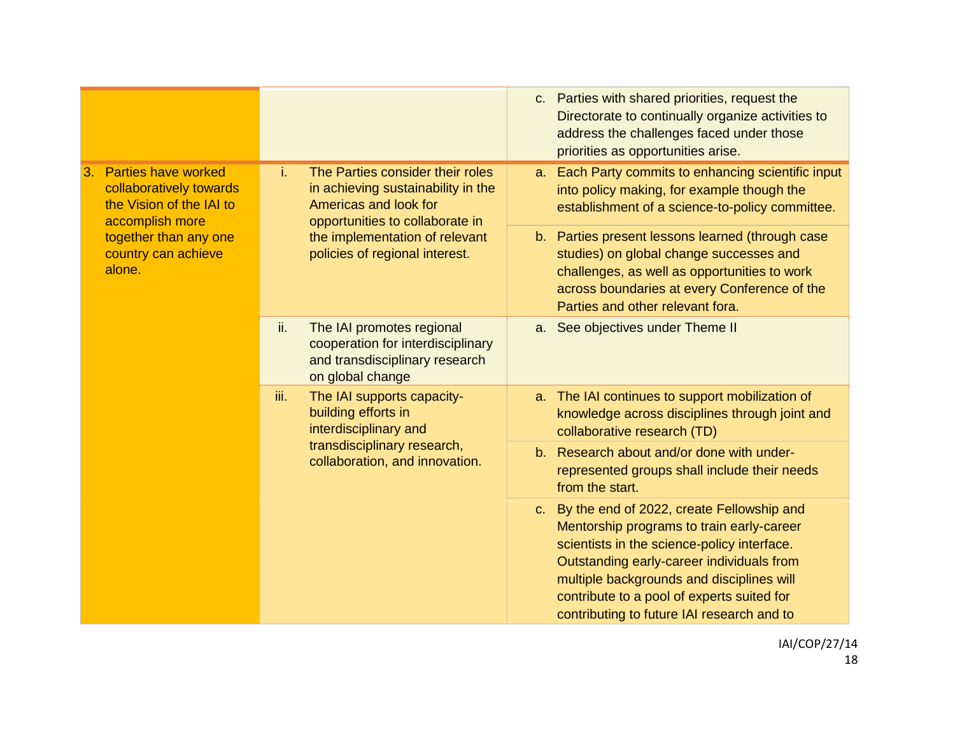|                                                                                                                                                                      |                                                                                                                                          | c. Parties with shared priorities, request the<br>Directorate to continually organize activities to<br>address the challenges faced under those<br>priorities as opportunities arise.                                                                                                                                                         |
|----------------------------------------------------------------------------------------------------------------------------------------------------------------------|------------------------------------------------------------------------------------------------------------------------------------------|-----------------------------------------------------------------------------------------------------------------------------------------------------------------------------------------------------------------------------------------------------------------------------------------------------------------------------------------------|
| <b>Parties have worked</b><br>3.<br>collaboratively towards<br>the Vision of the IAI to<br>accomplish more<br>together than any one<br>country can achieve<br>alone. | The Parties consider their roles<br>i.<br>in achieving sustainability in the<br>Americas and look for<br>opportunities to collaborate in | Each Party commits to enhancing scientific input<br>a.<br>into policy making, for example though the<br>establishment of a science-to-policy committee.                                                                                                                                                                                       |
|                                                                                                                                                                      | the implementation of relevant<br>policies of regional interest.                                                                         | Parties present lessons learned (through case<br>$b_{1}$<br>studies) on global change successes and<br>challenges, as well as opportunities to work<br>across boundaries at every Conference of the<br>Parties and other relevant fora.                                                                                                       |
|                                                                                                                                                                      | ii.<br>The IAI promotes regional<br>cooperation for interdisciplinary<br>and transdisciplinary research<br>on global change              | a. See objectives under Theme II                                                                                                                                                                                                                                                                                                              |
|                                                                                                                                                                      | iii.<br>The IAI supports capacity-<br>building efforts in<br>interdisciplinary and                                                       | a. The IAI continues to support mobilization of<br>knowledge across disciplines through joint and<br>collaborative research (TD)                                                                                                                                                                                                              |
|                                                                                                                                                                      | transdisciplinary research,<br>collaboration, and innovation.                                                                            | Research about and/or done with under-<br>$b_{1}$<br>represented groups shall include their needs<br>from the start.                                                                                                                                                                                                                          |
|                                                                                                                                                                      |                                                                                                                                          | By the end of 2022, create Fellowship and<br>C <sub>1</sub><br>Mentorship programs to train early-career<br>scientists in the science-policy interface.<br>Outstanding early-career individuals from<br>multiple backgrounds and disciplines will<br>contribute to a pool of experts suited for<br>contributing to future IAI research and to |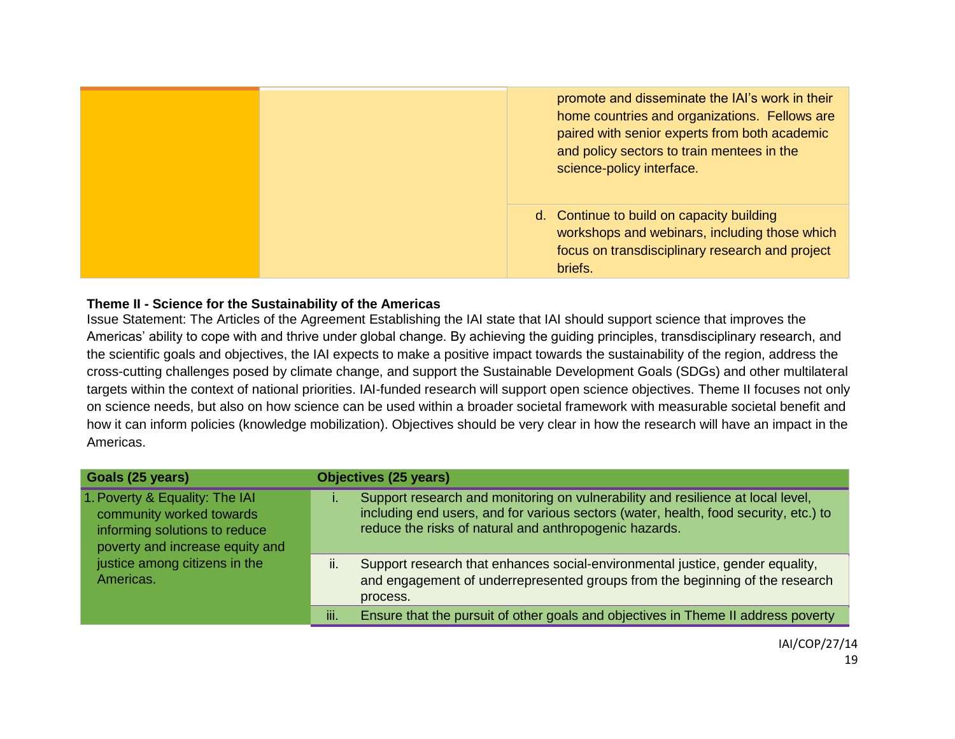

### **Theme II - Science for the Sustainability of the Americas**

Issue Statement: The Articles of the Agreement Establishing the IAI state that IAI should support science that improves the Americas' ability to cope with and thrive under global change. By achieving the guiding principles, transdisciplinary research, and the scientific goals and objectives, the IAI expects to make a positive impact towards the sustainability of the region, address the cross-cutting challenges posed by climate change, and support the Sustainable Development Goals (SDGs) and other multilateral targets within the context of national priorities. IAI-funded research will support open science objectives. Theme II focuses not only on science needs, but also on how science can be used within a broader societal framework with measurable societal benefit and how it can inform policies (knowledge mobilization). Objectives should be very clear in how the research will have an impact in the Americas.

| Goals (25 years)                                                                                                                                                             | <b>Objectives (25 years)</b>                                                                                                                                                                                                      |
|------------------------------------------------------------------------------------------------------------------------------------------------------------------------------|-----------------------------------------------------------------------------------------------------------------------------------------------------------------------------------------------------------------------------------|
| 1. Poverty & Equality: The IAI<br>community worked towards<br>informing solutions to reduce<br>poverty and increase equity and<br>justice among citizens in the<br>Americas. | Support research and monitoring on vulnerability and resilience at local level,<br>including end users, and for various sectors (water, health, food security, etc.) to<br>reduce the risks of natural and anthropogenic hazards. |
|                                                                                                                                                                              | Support research that enhances social-environmental justice, gender equality,<br>н.<br>and engagement of underrepresented groups from the beginning of the research<br>process.                                                   |
|                                                                                                                                                                              | iii.<br>Ensure that the pursuit of other goals and objectives in Theme II address poverty                                                                                                                                         |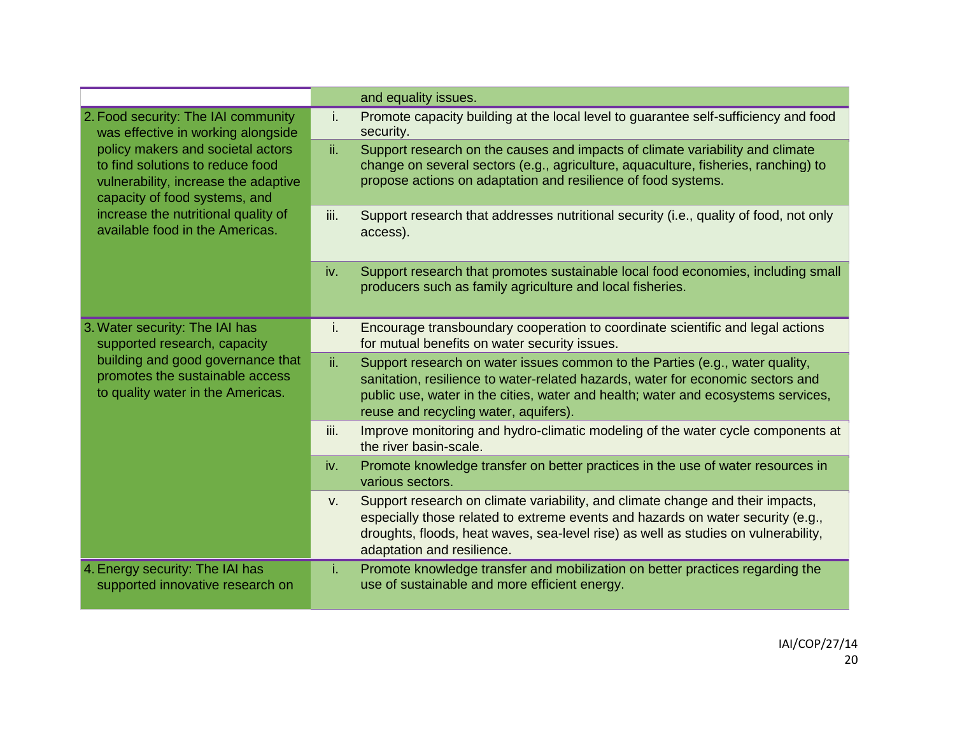|                                                                                                                                                                                                                             |             | and equality issues.                                                                                                                                                                                                                                                                          |
|-----------------------------------------------------------------------------------------------------------------------------------------------------------------------------------------------------------------------------|-------------|-----------------------------------------------------------------------------------------------------------------------------------------------------------------------------------------------------------------------------------------------------------------------------------------------|
| 2. Food security: The IAI community<br>was effective in working alongside<br>policy makers and societal actors<br>to find solutions to reduce food<br>vulnerability, increase the adaptive<br>capacity of food systems, and | i.          | Promote capacity building at the local level to guarantee self-sufficiency and food<br>security.                                                                                                                                                                                              |
|                                                                                                                                                                                                                             | ii.         | Support research on the causes and impacts of climate variability and climate<br>change on several sectors (e.g., agriculture, aquaculture, fisheries, ranching) to<br>propose actions on adaptation and resilience of food systems.                                                          |
| increase the nutritional quality of<br>available food in the Americas.                                                                                                                                                      | iii.        | Support research that addresses nutritional security (i.e., quality of food, not only<br>access).                                                                                                                                                                                             |
|                                                                                                                                                                                                                             | iv.         | Support research that promotes sustainable local food economies, including small<br>producers such as family agriculture and local fisheries.                                                                                                                                                 |
| 3. Water security: The IAI has<br>supported research, capacity                                                                                                                                                              | Ι.          | Encourage transboundary cooperation to coordinate scientific and legal actions<br>for mutual benefits on water security issues.                                                                                                                                                               |
| building and good governance that<br>promotes the sustainable access<br>to quality water in the Americas.                                                                                                                   | ii.         | Support research on water issues common to the Parties (e.g., water quality,<br>sanitation, resilience to water-related hazards, water for economic sectors and<br>public use, water in the cities, water and health; water and ecosystems services,<br>reuse and recycling water, aquifers). |
|                                                                                                                                                                                                                             | iii.        | Improve monitoring and hydro-climatic modeling of the water cycle components at<br>the river basin-scale.                                                                                                                                                                                     |
|                                                                                                                                                                                                                             | iv.         | Promote knowledge transfer on better practices in the use of water resources in<br>various sectors.                                                                                                                                                                                           |
|                                                                                                                                                                                                                             | $V_{\cdot}$ | Support research on climate variability, and climate change and their impacts,<br>especially those related to extreme events and hazards on water security (e.g.,<br>droughts, floods, heat waves, sea-level rise) as well as studies on vulnerability,<br>adaptation and resilience.         |
| 4. Energy security: The IAI has<br>supported innovative research on                                                                                                                                                         | i.          | Promote knowledge transfer and mobilization on better practices regarding the<br>use of sustainable and more efficient energy.                                                                                                                                                                |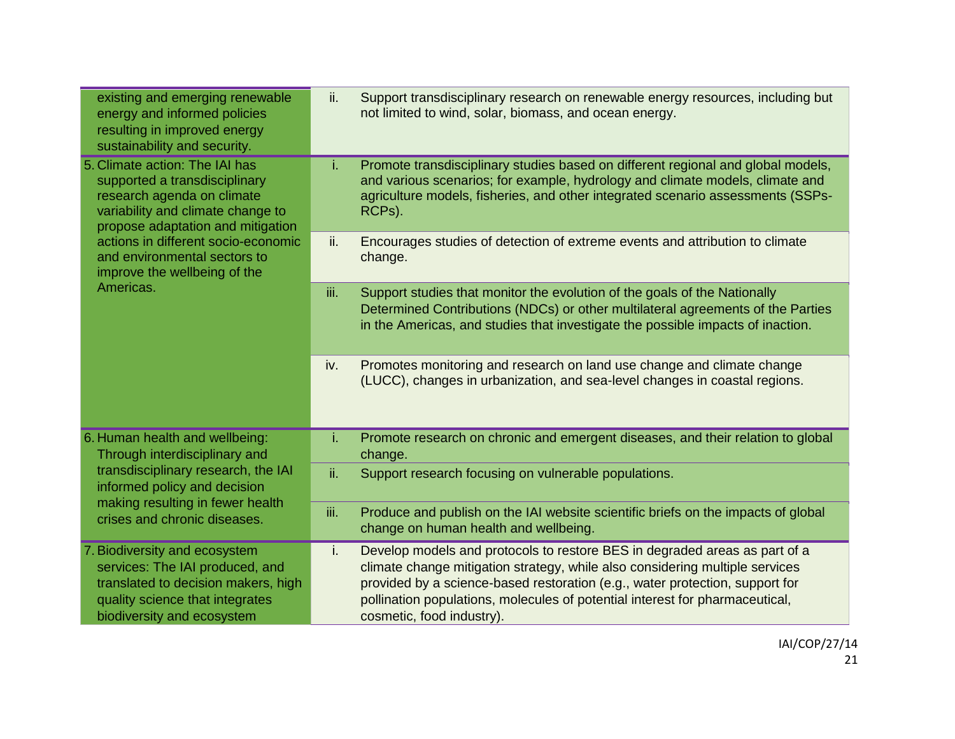| existing and emerging renewable<br>energy and informed policies<br>resulting in improved energy<br>sustainability and security.                                                                            | ii.  | Support transdisciplinary research on renewable energy resources, including but<br>not limited to wind, solar, biomass, and ocean energy.                                                                                                                                                                                                               |
|------------------------------------------------------------------------------------------------------------------------------------------------------------------------------------------------------------|------|---------------------------------------------------------------------------------------------------------------------------------------------------------------------------------------------------------------------------------------------------------------------------------------------------------------------------------------------------------|
| 5. Climate action: The IAI has<br>supported a transdisciplinary<br>research agenda on climate<br>variability and climate change to<br>propose adaptation and mitigation                                    | i.   | Promote transdisciplinary studies based on different regional and global models,<br>and various scenarios; for example, hydrology and climate models, climate and<br>agriculture models, fisheries, and other integrated scenario assessments (SSPs-<br>RCPs).                                                                                          |
| actions in different socio-economic<br>and environmental sectors to<br>improve the wellbeing of the                                                                                                        | ii.  | Encourages studies of detection of extreme events and attribution to climate<br>change.                                                                                                                                                                                                                                                                 |
| Americas.                                                                                                                                                                                                  | iii. | Support studies that monitor the evolution of the goals of the Nationally<br>Determined Contributions (NDCs) or other multilateral agreements of the Parties<br>in the Americas, and studies that investigate the possible impacts of inaction.                                                                                                         |
|                                                                                                                                                                                                            | iv.  | Promotes monitoring and research on land use change and climate change<br>(LUCC), changes in urbanization, and sea-level changes in coastal regions.                                                                                                                                                                                                    |
| 6. Human health and wellbeing:<br>Through interdisciplinary and<br>transdisciplinary research, the IAI<br>informed policy and decision<br>making resulting in fewer health<br>crises and chronic diseases. | i.   | Promote research on chronic and emergent diseases, and their relation to global<br>change.                                                                                                                                                                                                                                                              |
|                                                                                                                                                                                                            | ii.  | Support research focusing on vulnerable populations.                                                                                                                                                                                                                                                                                                    |
|                                                                                                                                                                                                            | iii. | Produce and publish on the IAI website scientific briefs on the impacts of global<br>change on human health and wellbeing.                                                                                                                                                                                                                              |
| 7. Biodiversity and ecosystem<br>services: The IAI produced, and<br>translated to decision makers, high<br>quality science that integrates<br>biodiversity and ecosystem                                   | i.   | Develop models and protocols to restore BES in degraded areas as part of a<br>climate change mitigation strategy, while also considering multiple services<br>provided by a science-based restoration (e.g., water protection, support for<br>pollination populations, molecules of potential interest for pharmaceutical,<br>cosmetic, food industry). |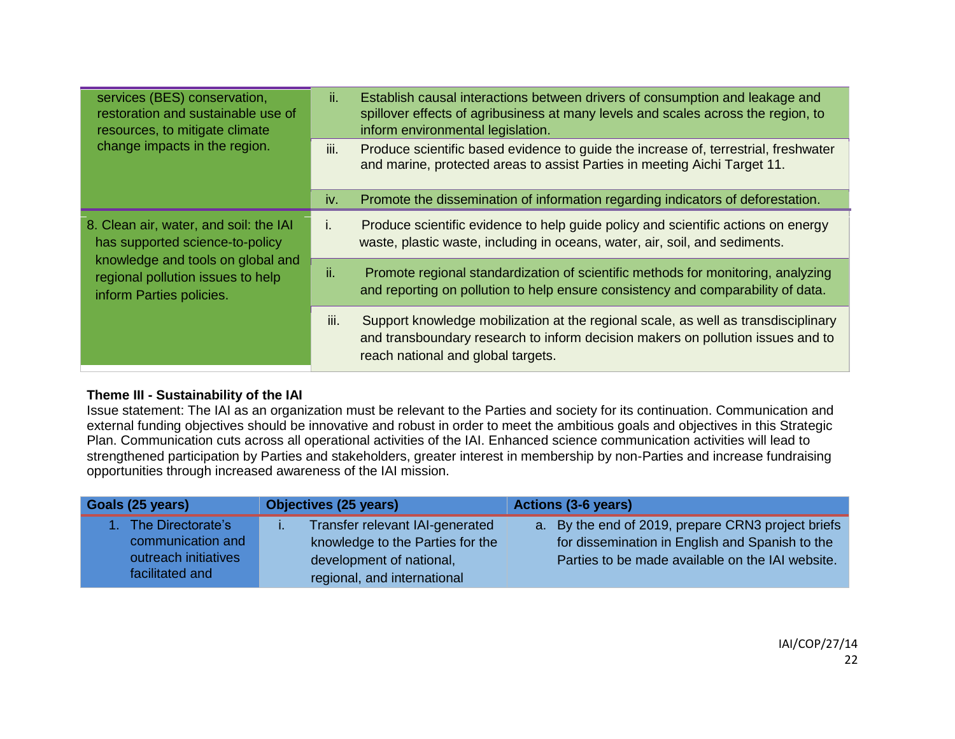| services (BES) conservation,<br>restoration and sustainable use of<br>resources, to mitigate climate<br>change impacts in the region.                                           | ii.  | Establish causal interactions between drivers of consumption and leakage and<br>spillover effects of agribusiness at many levels and scales across the region, to<br>inform environmental legislation.      |
|---------------------------------------------------------------------------------------------------------------------------------------------------------------------------------|------|-------------------------------------------------------------------------------------------------------------------------------------------------------------------------------------------------------------|
|                                                                                                                                                                                 | iii. | Produce scientific based evidence to guide the increase of, terrestrial, freshwater<br>and marine, protected areas to assist Parties in meeting Aichi Target 11.                                            |
|                                                                                                                                                                                 | iv.  | Promote the dissemination of information regarding indicators of deforestation.                                                                                                                             |
| 8. Clean air, water, and soil: the IAI<br>has supported science-to-policy<br>knowledge and tools on global and<br>regional pollution issues to help<br>inform Parties policies. | ı.   | Produce scientific evidence to help guide policy and scientific actions on energy<br>waste, plastic waste, including in oceans, water, air, soil, and sediments.                                            |
|                                                                                                                                                                                 | ii.  | Promote regional standardization of scientific methods for monitoring, analyzing<br>and reporting on pollution to help ensure consistency and comparability of data.                                        |
|                                                                                                                                                                                 | iii. | Support knowledge mobilization at the regional scale, as well as transdisciplinary<br>and transboundary research to inform decision makers on pollution issues and to<br>reach national and global targets. |

## **Theme III - Sustainability of the IAI**

Issue statement: The IAI as an organization must be relevant to the Parties and society for its continuation. Communication and external funding objectives should be innovative and robust in order to meet the ambitious goals and objectives in this Strategic Plan. Communication cuts across all operational activities of the IAI. Enhanced science communication activities will lead to strengthened participation by Parties and stakeholders, greater interest in membership by non-Parties and increase fundraising opportunities through increased awareness of the IAI mission.

| Goals (25 years)     | <b>Objectives (25 years)</b>     | <b>Actions (3-6 years)</b>                         |
|----------------------|----------------------------------|----------------------------------------------------|
| 1. The Directorate's | Transfer relevant IAI-generated  | a. By the end of 2019, prepare CRN3 project briefs |
| communication and    | knowledge to the Parties for the | for dissemination in English and Spanish to the    |
| outreach initiatives | development of national,         | Parties to be made available on the IAI website.   |
| facilitated and      | regional, and international      |                                                    |

IAI/COP/27/14 22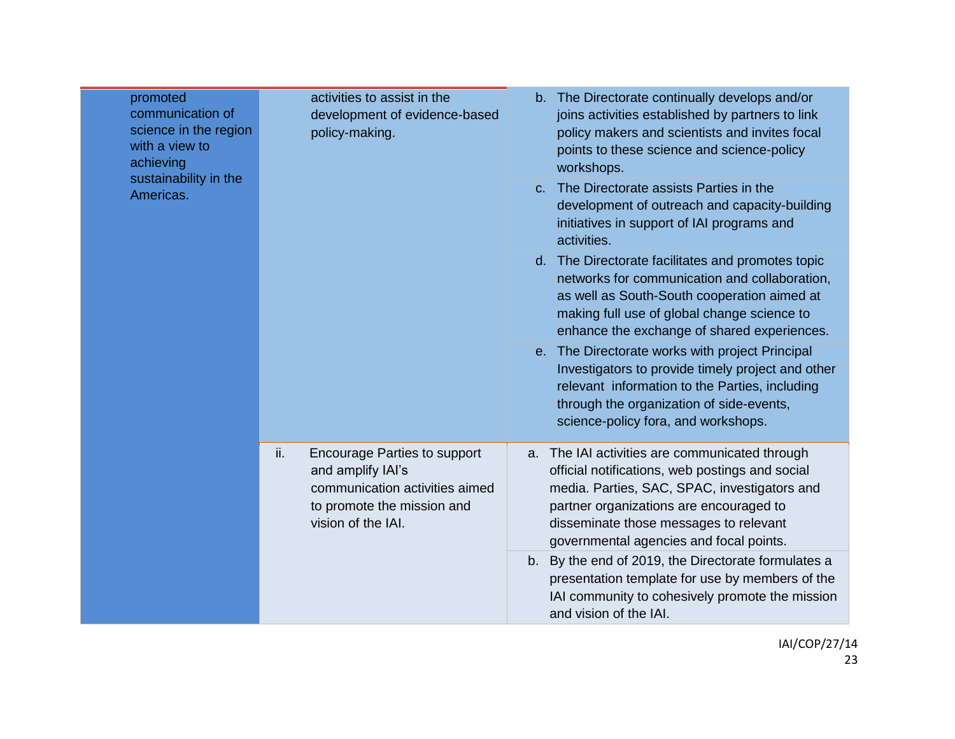| promoted<br>communication of<br>science in the region<br>with a view to<br>achieving<br>sustainability in the<br>Americas. | activities to assist in the<br>development of evidence-based<br>policy-making.                                                                        | b. The Directorate continually develops and/or<br>joins activities established by partners to link<br>policy makers and scientists and invites focal<br>points to these science and science-policy<br>workshops.<br>The Directorate assists Parties in the<br>$C_{-}$<br>development of outreach and capacity-building<br>initiatives in support of IAI programs and<br>activities.<br>d. The Directorate facilitates and promotes topic<br>networks for communication and collaboration,<br>as well as South-South cooperation aimed at<br>making full use of global change science to<br>enhance the exchange of shared experiences.<br>e. The Directorate works with project Principal |
|----------------------------------------------------------------------------------------------------------------------------|-------------------------------------------------------------------------------------------------------------------------------------------------------|-------------------------------------------------------------------------------------------------------------------------------------------------------------------------------------------------------------------------------------------------------------------------------------------------------------------------------------------------------------------------------------------------------------------------------------------------------------------------------------------------------------------------------------------------------------------------------------------------------------------------------------------------------------------------------------------|
|                                                                                                                            |                                                                                                                                                       | Investigators to provide timely project and other<br>relevant information to the Parties, including<br>through the organization of side-events,<br>science-policy fora, and workshops.                                                                                                                                                                                                                                                                                                                                                                                                                                                                                                    |
|                                                                                                                            | ii.<br><b>Encourage Parties to support</b><br>and amplify IAI's<br>communication activities aimed<br>to promote the mission and<br>vision of the IAI. | a. The IAI activities are communicated through<br>official notifications, web postings and social<br>media. Parties, SAC, SPAC, investigators and<br>partner organizations are encouraged to<br>disseminate those messages to relevant<br>governmental agencies and focal points.                                                                                                                                                                                                                                                                                                                                                                                                         |
|                                                                                                                            |                                                                                                                                                       | b. By the end of 2019, the Directorate formulates a<br>presentation template for use by members of the<br>IAI community to cohesively promote the mission<br>and vision of the IAI.                                                                                                                                                                                                                                                                                                                                                                                                                                                                                                       |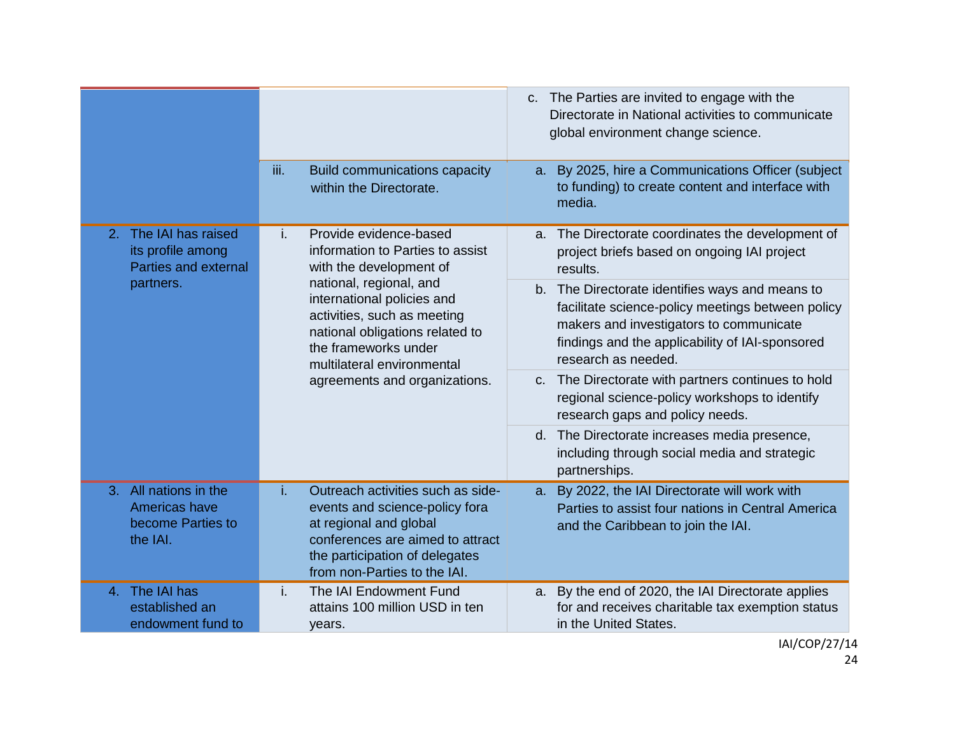|                                                                                 |                                                                                                                                                                                                                                                                                                               | c. The Parties are invited to engage with the<br>Directorate in National activities to communicate<br>global environment change science.                                                                                  |
|---------------------------------------------------------------------------------|---------------------------------------------------------------------------------------------------------------------------------------------------------------------------------------------------------------------------------------------------------------------------------------------------------------|---------------------------------------------------------------------------------------------------------------------------------------------------------------------------------------------------------------------------|
|                                                                                 | iii.<br><b>Build communications capacity</b><br>within the Directorate.                                                                                                                                                                                                                                       | a. By 2025, hire a Communications Officer (subject<br>to funding) to create content and interface with<br>media.                                                                                                          |
| 2. The IAI has raised<br>its profile among<br>Parties and external<br>partners. | Provide evidence-based<br>i.<br>information to Parties to assist<br>with the development of<br>national, regional, and<br>international policies and<br>activities, such as meeting<br>national obligations related to<br>the frameworks under<br>multilateral environmental<br>agreements and organizations. | a. The Directorate coordinates the development of<br>project briefs based on ongoing IAI project<br>results.                                                                                                              |
|                                                                                 |                                                                                                                                                                                                                                                                                                               | b. The Directorate identifies ways and means to<br>facilitate science-policy meetings between policy<br>makers and investigators to communicate<br>findings and the applicability of IAI-sponsored<br>research as needed. |
|                                                                                 |                                                                                                                                                                                                                                                                                                               | c. The Directorate with partners continues to hold<br>regional science-policy workshops to identify<br>research gaps and policy needs.                                                                                    |
|                                                                                 |                                                                                                                                                                                                                                                                                                               | The Directorate increases media presence,<br>d.<br>including through social media and strategic<br>partnerships.                                                                                                          |
| 3. All nations in the<br>Americas have<br>become Parties to<br>the IAI.         | Outreach activities such as side-<br>i.<br>events and science-policy fora<br>at regional and global<br>conferences are aimed to attract<br>the participation of delegates<br>from non-Parties to the IAI.                                                                                                     | a. By 2022, the IAI Directorate will work with<br>Parties to assist four nations in Central America<br>and the Caribbean to join the IAI.                                                                                 |
| The IAI has<br>4.<br>established an<br>endowment fund to                        | The IAI Endowment Fund<br>i.<br>attains 100 million USD in ten<br>years.                                                                                                                                                                                                                                      | a. By the end of 2020, the IAI Directorate applies<br>for and receives charitable tax exemption status<br>in the United States.                                                                                           |